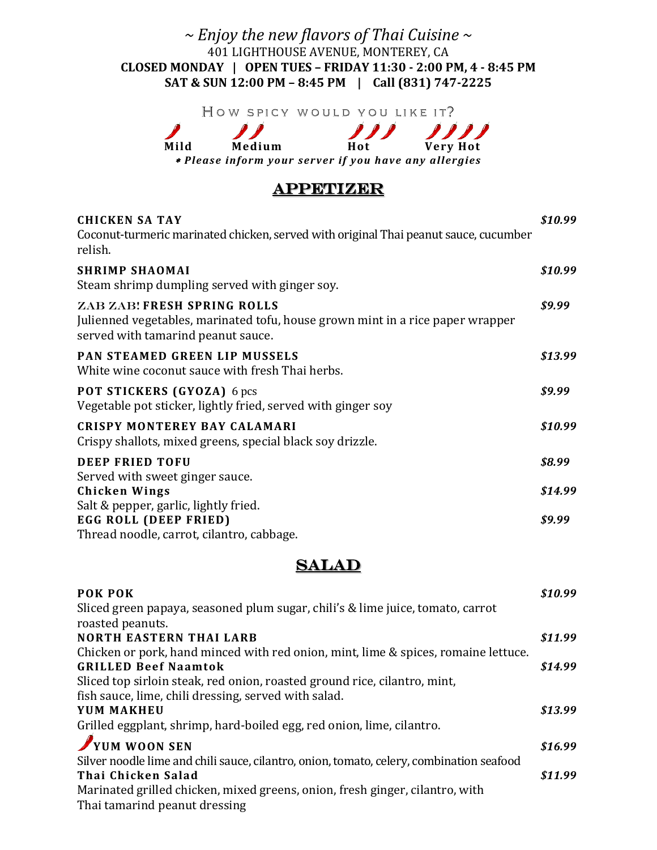### *~ Enjoy the new flavors of Thai Cuisine ~* 401 LIGHTHOUSE AVENUE, MONTEREY, CA **CLOSED MONDAY | OPEN TUES – FRIDAY 11:30 - 2:00 PM, 4 - 8:45 PM SAT & SUN 12:00 PM – 8:45 PM | Call (831) 747-2225**

HOW SPICY WOULD YOU LIKE IT?

 $\mathcal{L}$  $\mathcal{L}$  $\mathbf{v}$ **Mild Medium Hot Very Hot** *Please inform your server if you have any allergies*

### **APPETIZER**

| <b>CHICKEN SA TAY</b><br>Coconut-turmeric marinated chicken, served with original Thai peanut sauce, cucumber<br>relish.                                   | \$10.99 |
|------------------------------------------------------------------------------------------------------------------------------------------------------------|---------|
| <b>SHRIMP SHAOMAI</b><br>Steam shrimp dumpling served with ginger soy.                                                                                     | \$10.99 |
| <b>ZAB ZAB! FRESH SPRING ROLLS</b><br>Julienned vegetables, marinated tofu, house grown mint in a rice paper wrapper<br>served with tamarind peanut sauce. | \$9.99  |
| PAN STEAMED GREEN LIP MUSSELS<br>White wine coconut sauce with fresh Thai herbs.                                                                           | \$13.99 |
| POT STICKERS (GYOZA) 6 pcs<br>Vegetable pot sticker, lightly fried, served with ginger soy                                                                 | \$9.99  |
| <b>CRISPY MONTEREY BAY CALAMARI</b><br>Crispy shallots, mixed greens, special black soy drizzle.                                                           | \$10.99 |
| <b>DEEP FRIED TOFU</b>                                                                                                                                     | \$8.99  |
| Served with sweet ginger sauce.<br><b>Chicken Wings</b>                                                                                                    | \$14.99 |
| Salt & pepper, garlic, lightly fried.<br>EGG ROLL (DEEP FRIED)<br>Thread noodle, carrot, cilantro, cabbage.                                                | \$9.99  |

### SALAD

| POK POK                                                                                  | \$10.99 |
|------------------------------------------------------------------------------------------|---------|
| Sliced green papaya, seasoned plum sugar, chili's & lime juice, tomato, carrot           |         |
| roasted peanuts.                                                                         |         |
| <b>NORTH EASTERN THAI LARB</b>                                                           | \$11.99 |
| Chicken or pork, hand minced with red onion, mint, lime & spices, romaine lettuce.       |         |
| <b>GRILLED Beef Naamtok</b>                                                              | \$14.99 |
| Sliced top sirloin steak, red onion, roasted ground rice, cilantro, mint,                |         |
| fish sauce, lime, chili dressing, served with salad.                                     |         |
| YUM MAKHEU                                                                               | \$13.99 |
| Grilled eggplant, shrimp, hard-boiled egg, red onion, lime, cilantro.                    |         |
| YUM WOON SEN                                                                             | \$16.99 |
| Silver noodle lime and chili sauce, cilantro, onion, tomato, celery, combination seafood |         |
| Thai Chicken Salad                                                                       | \$11.99 |
| Marinated grilled chicken, mixed greens, onion, fresh ginger, cilantro, with             |         |
| Thai tamarind peanut dressing                                                            |         |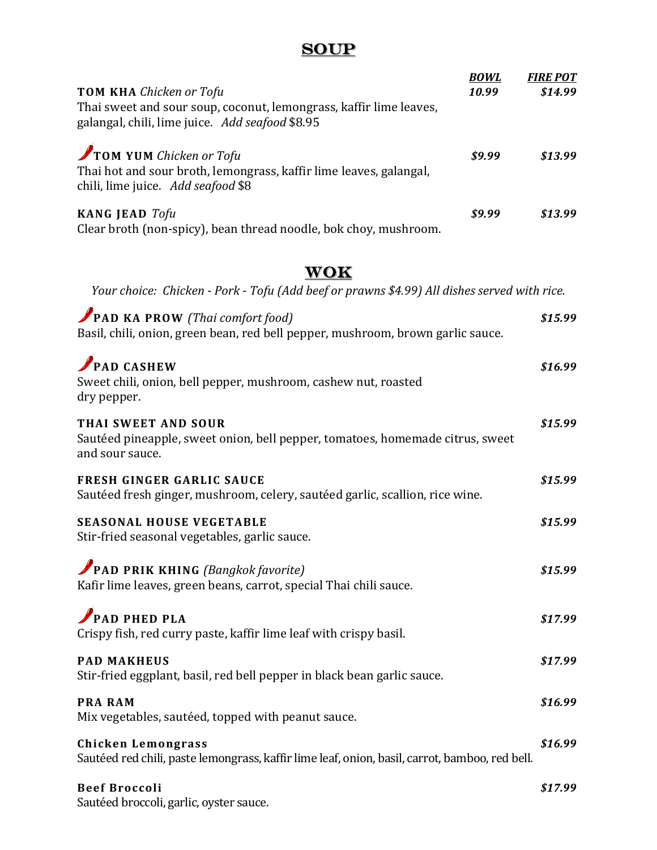# **SOUP**

|                                                                                                                                     | <b>BOWL</b> | <b>FIRE POT</b> |
|-------------------------------------------------------------------------------------------------------------------------------------|-------------|-----------------|
| <b>TOM KHA</b> Chicken or Tofu                                                                                                      | 10.99       | \$14.99         |
| Thai sweet and sour soup, coconut, lemongrass, kaffir lime leaves,<br>galangal, chili, lime juice. Add seafood \$8.95               |             |                 |
| TOM YUM Chicken or Tofu<br>Thai hot and sour broth, lemongrass, kaffir lime leaves, galangal,<br>chili, lime juice. Add seafood \$8 | \$9.99      | \$13.99         |
| <b>KANG JEAD</b> Tofu<br>Clear broth (non-spicy), bean thread noodle, bok choy, mushroom.                                           | \$9.99      | \$13.99         |

# **WOK**

*Your choice: Chicken* - *Pork* - *Tofu (Add beef or prawns \$4.99) All dishes served with rice.*

| <b>PAD KA PROW</b> (Thai comfort food)<br>Basil, chili, onion, green bean, red bell pepper, mushroom, brown garlic sauce.   | \$15.99 |
|-----------------------------------------------------------------------------------------------------------------------------|---------|
| PAD CASHEW<br>Sweet chili, onion, bell pepper, mushroom, cashew nut, roasted<br>dry pepper.                                 | \$16.99 |
| THAI SWEET AND SOUR<br>Sautéed pineapple, sweet onion, bell pepper, tomatoes, homemade citrus, sweet<br>and sour sauce.     | \$15.99 |
| <b>FRESH GINGER GARLIC SAUCE</b><br>Sautéed fresh ginger, mushroom, celery, sautéed garlic, scallion, rice wine.            | \$15.99 |
| <b>SEASONAL HOUSE VEGETABLE</b><br>Stir-fried seasonal vegetables, garlic sauce.                                            | \$15.99 |
| <b>PAD PRIK KHING</b> (Bangkok favorite)<br>Kafir lime leaves, green beans, carrot, special Thai chili sauce.               | \$15.99 |
| PAD PHED PLA<br>Crispy fish, red curry paste, kaffir lime leaf with crispy basil.                                           | \$17.99 |
| <b>PAD MAKHEUS</b><br>Stir-fried eggplant, basil, red bell pepper in black bean garlic sauce.                               | \$17.99 |
| <b>PRA RAM</b><br>Mix vegetables, sautéed, topped with peanut sauce.                                                        | \$16.99 |
| <b>Chicken Lemongrass</b><br>Sautéed red chili, paste lemongrass, kaffir lime leaf, onion, basil, carrot, bamboo, red bell. | \$16.99 |
| <b>Beef Broccoli</b><br>Sautéed broccoli, garlic, oyster sauce.                                                             | \$17.99 |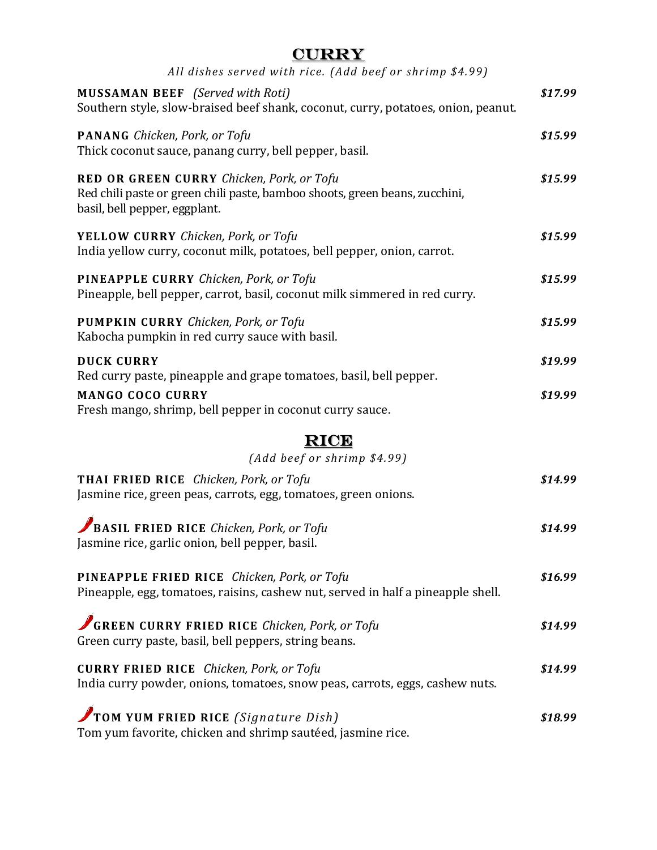| Π.<br>U<br>τ.<br>٠ |
|--------------------|
|--------------------|

| All dishes served with rice. (Add beef or shrimp \$4.99)                                                                                                  |         |
|-----------------------------------------------------------------------------------------------------------------------------------------------------------|---------|
| <b>MUSSAMAN BEEF</b> (Served with Roti)<br>Southern style, slow-braised beef shank, coconut, curry, potatoes, onion, peanut.                              | \$17.99 |
| <b>PANANG</b> Chicken, Pork, or Tofu<br>Thick coconut sauce, panang curry, bell pepper, basil.                                                            | \$15.99 |
| RED OR GREEN CURRY Chicken, Pork, or Tofu<br>Red chili paste or green chili paste, bamboo shoots, green beans, zucchini,<br>basil, bell pepper, eggplant. | \$15.99 |
| YELLOW CURRY Chicken, Pork, or Tofu<br>India yellow curry, coconut milk, potatoes, bell pepper, onion, carrot.                                            | \$15.99 |
| <b>PINEAPPLE CURRY</b> Chicken, Pork, or Tofu<br>Pineapple, bell pepper, carrot, basil, coconut milk simmered in red curry.                               | \$15.99 |
| <b>PUMPKIN CURRY</b> Chicken, Pork, or Tofu<br>Kabocha pumpkin in red curry sauce with basil.                                                             | \$15.99 |
| <b>DUCK CURRY</b><br>Red curry paste, pineapple and grape tomatoes, basil, bell pepper.                                                                   | \$19.99 |
| <b>MANGO COCO CURRY</b><br>Fresh mango, shrimp, bell pepper in coconut curry sauce.                                                                       | \$19.99 |
| <b>RICE</b><br>(Add beef or shrimp \$4.99)                                                                                                                |         |
| THAI FRIED RICE Chicken, Pork, or Tofu<br>Jasmine rice, green peas, carrots, egg, tomatoes, green onions.                                                 | \$14.99 |
| BASIL FRIED RICE Chicken, Pork, or Tofu<br>Jasmine rice, garlic onion, bell pepper, basil.                                                                | \$14.99 |
| PINEAPPLE FRIED RICE Chicken, Pork, or Tofu<br>Pineapple, egg, tomatoes, raisins, cashew nut, served in half a pineapple shell.                           | \$16.99 |
| GREEN CURRY FRIED RICE Chicken, Pork, or Tofu<br>Green curry paste, basil, bell peppers, string beans.                                                    | \$14.99 |
| <b>CURRY FRIED RICE</b> Chicken, Pork, or Tofu<br>India curry powder, onions, tomatoes, snow peas, carrots, eggs, cashew nuts.                            | \$14.99 |
| TOM YUM FRIED RICE (Signature Dish)<br>Tom yum favorite, chicken and shrimp sautéed, jasmine rice.                                                        | \$18.99 |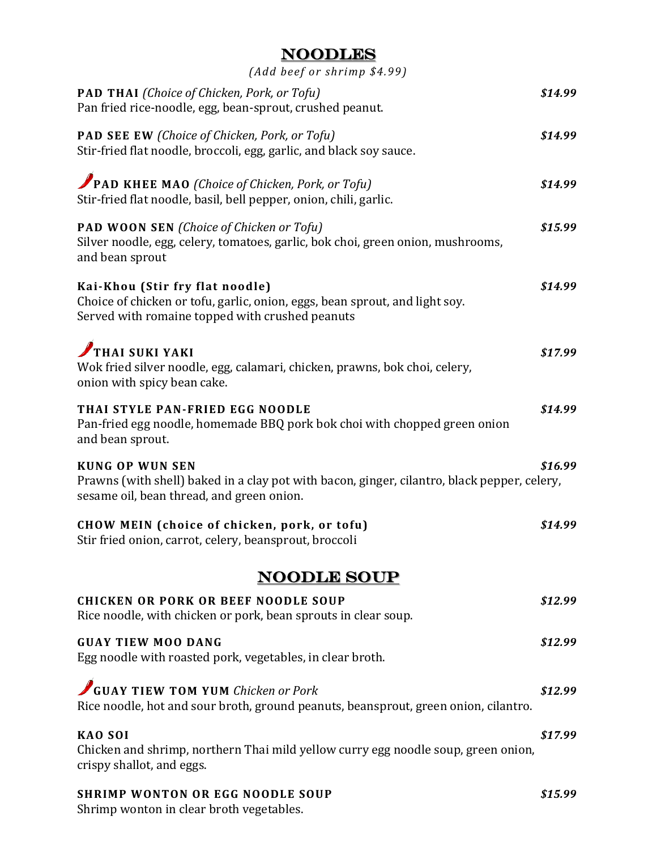### Noodles

| (Add beef or shrimp \$4.99)                                                                                                                                        |         |
|--------------------------------------------------------------------------------------------------------------------------------------------------------------------|---------|
| <b>PAD THAI</b> (Choice of Chicken, Pork, or Tofu)<br>Pan fried rice-noodle, egg, bean-sprout, crushed peanut.                                                     | \$14.99 |
| <b>PAD SEE EW (Choice of Chicken, Pork, or Tofu)</b><br>Stir-fried flat noodle, broccoli, egg, garlic, and black soy sauce.                                        | \$14.99 |
| PAD KHEE MAO (Choice of Chicken, Pork, or Tofu)<br>Stir-fried flat noodle, basil, bell pepper, onion, chili, garlic.                                               | \$14.99 |
| <b>PAD WOON SEN</b> (Choice of Chicken or Tofu)<br>Silver noodle, egg, celery, tomatoes, garlic, bok choi, green onion, mushrooms,<br>and bean sprout              | \$15.99 |
| Kai-Khou (Stir fry flat noodle)<br>Choice of chicken or tofu, garlic, onion, eggs, bean sprout, and light soy.<br>Served with romaine topped with crushed peanuts  | \$14.99 |
| THAI SUKI YAKI<br>Wok fried silver noodle, egg, calamari, chicken, prawns, bok choi, celery,<br>onion with spicy bean cake.                                        | \$17.99 |
| THAI STYLE PAN-FRIED EGG NOODLE<br>Pan-fried egg noodle, homemade BBQ pork bok choi with chopped green onion<br>and bean sprout.                                   | \$14.99 |
| <b>KUNG OP WUN SEN</b><br>Prawns (with shell) baked in a clay pot with bacon, ginger, cilantro, black pepper, celery,<br>sesame oil, bean thread, and green onion. | \$16.99 |
| CHOW MEIN (choice of chicken, pork, or tofu)<br>Stir fried onion, carrot, celery, beansprout, broccoli                                                             | \$14.99 |
| <b>NOODLE SOUP</b>                                                                                                                                                 |         |
| <b>CHICKEN OR PORK OR BEEF NOODLE SOUP</b><br>Rice noodle, with chicken or pork, bean sprouts in clear soup.                                                       | \$12.99 |
| <b>GUAY TIEW MOO DANG</b><br>Egg noodle with roasted pork, vegetables, in clear broth.                                                                             | \$12.99 |
| GUAY TIEW TOM YUM Chicken or Pork<br>Rice noodle, hot and sour broth, ground peanuts, beansprout, green onion, cilantro.                                           | \$12.99 |
| <b>KAO SOI</b><br>Chicken and shrimp, northern Thai mild yellow curry egg noodle soup, green onion,<br>crispy shallot, and eggs.                                   | \$17.99 |
| <b>SHRIMP WONTON OR EGG NOODLE SOUP</b><br>Shrimp wonton in clear broth vegetables.                                                                                | \$15.99 |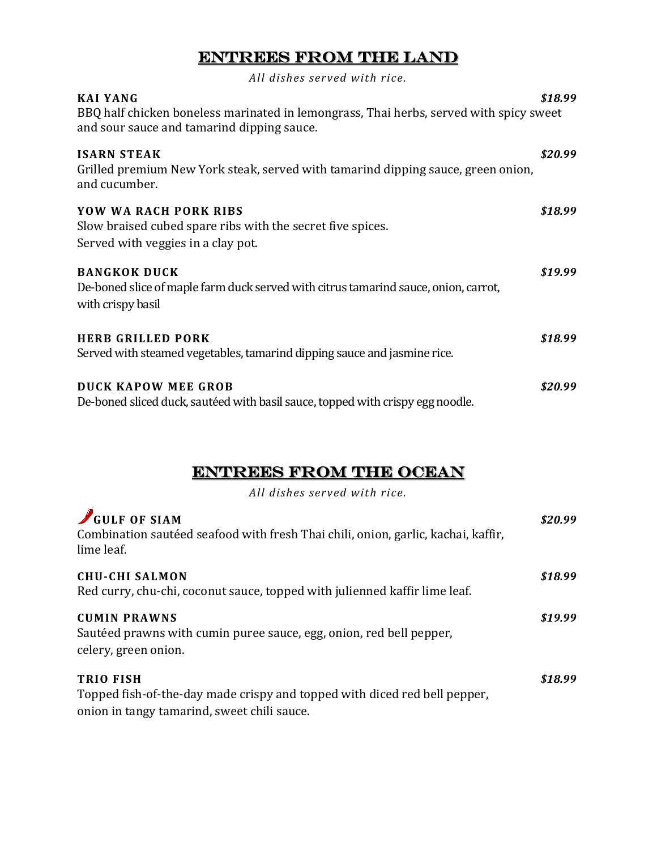## Entrees from the land

*All dishes served with rice.*

| <b>KAI YANG</b><br>BBQ half chicken boneless marinated in lemongrass, Thai herbs, served with spicy sweet<br>and sour sauce and tamarind dipping sauce. | \$18.99 |
|---------------------------------------------------------------------------------------------------------------------------------------------------------|---------|
| <b>ISARN STEAK</b><br>Grilled premium New York steak, served with tamarind dipping sauce, green onion,<br>and cucumber.                                 | \$20.99 |
| <b>YOW WA RACH PORK RIBS</b><br>Slow braised cubed spare ribs with the secret five spices.<br>Served with veggies in a clay pot.                        | \$18.99 |
| <b>BANGKOK DUCK</b><br>De-boned slice of maple farm duck served with citrus tamarind sauce, onion, carrot,<br>with crispy basil                         | \$19.99 |
| <b>HERB GRILLED PORK</b><br>Served with steamed vegetables, tamarind dipping sauce and jasmine rice.                                                    | \$18.99 |
| <b>DUCK KAPOW MEE GROB</b><br>De-boned sliced duck, sautéed with basil sauce, topped with crispy egg noodle.                                            | \$20.99 |

### Entrees from the ocean

*All dishes served with rice.*

| GULF OF SIAM<br>Combination sautéed seafood with fresh Thai chili, onion, garlic, kachai, kaffir,<br>lime leaf.                              | \$20.99 |
|----------------------------------------------------------------------------------------------------------------------------------------------|---------|
| <b>CHU-CHI SALMON</b><br>Red curry, chu-chi, coconut sauce, topped with julienned kaffir lime leaf.                                          | \$18.99 |
| <b>CUMIN PRAWNS</b><br>Sautéed prawns with cumin puree sauce, egg, onion, red bell pepper,<br>celery, green onion.                           | \$19.99 |
| <b>TRIO FISH</b><br>Topped fish-of-the-day made crispy and topped with diced red bell pepper,<br>onion in tangy tamarind, sweet chili sauce. | \$18.99 |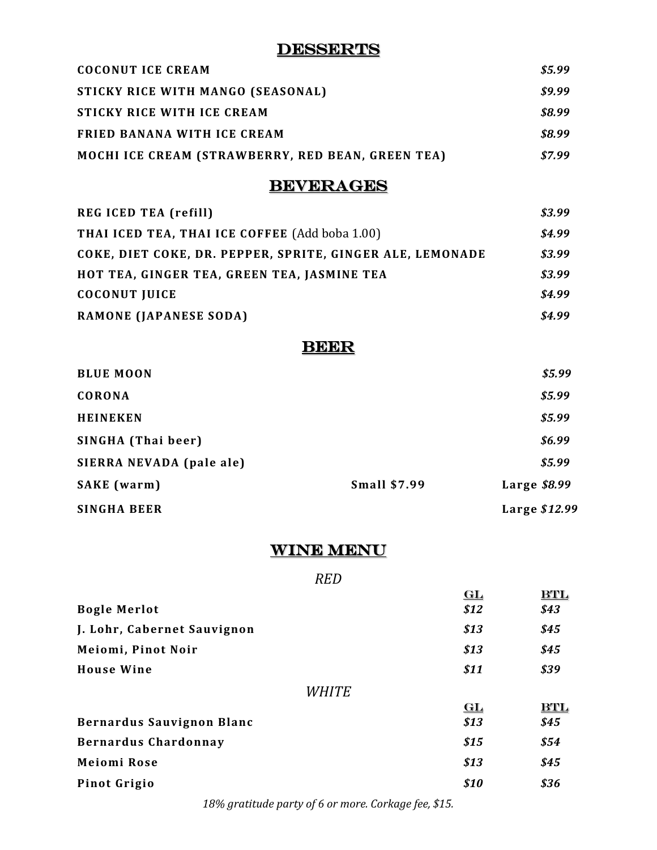### **DESSERTS**

| <b>COCONUT ICE CREAM</b>                                 | \$5.99 |
|----------------------------------------------------------|--------|
| STICKY RICE WITH MANGO (SEASONAL)                        | \$9.99 |
| STICKY RICE WITH ICE CREAM                               | \$8.99 |
| FRIED BANANA WITH ICE CREAM                              | \$8.99 |
| <b>MOCHI ICE CREAM (STRAWBERRY, RED BEAN, GREEN TEA)</b> | \$7.99 |

# **BEVERAGES**

| <b>REGICED TEA (refill)</b>                               | \$3.99 |
|-----------------------------------------------------------|--------|
| THAI ICED TEA, THAI ICE COFFEE (Add boba 1.00)            | \$4.99 |
| COKE, DIET COKE, DR. PEPPER, SPRITE, GINGER ALE, LEMONADE | \$3.99 |
| HOT TEA, GINGER TEA, GREEN TEA, JASMINE TEA               | \$3.99 |
| <b>COCONUT JUICE</b>                                      | \$4.99 |
| <b>RAMONE (JAPANESE SODA)</b>                             | \$4.99 |

# **BEER**

| <b>BLUE MOON</b>         |                     |               | \$5.99 |
|--------------------------|---------------------|---------------|--------|
| <b>CORONA</b>            |                     |               | \$5.99 |
| <b>HEINEKEN</b>          |                     |               | \$5.99 |
| SINGHA (Thai beer)       |                     |               | \$6.99 |
| SIERRA NEVADA (pale ale) |                     |               | \$5.99 |
| <b>SAKE</b> (warm)       | <b>Small \$7.99</b> | Large $$8.99$ |        |
| <b>SINGHA BEER</b>       |                     | Large \$12.99 |        |

### WINE MENU

#### *RED*

| GL    | BTL  |
|-------|------|
|       | \$43 |
| \$13  | \$45 |
| \$13  | \$45 |
| \$11  | \$39 |
| WHITE |      |
| GL    | BTL  |
| \$13  | \$45 |
| \$15  | \$54 |
| \$13  | \$45 |
| \$10  | \$36 |
|       | \$12 |

*18% gratitude party of 6 or more. Corkage fee, \$15.*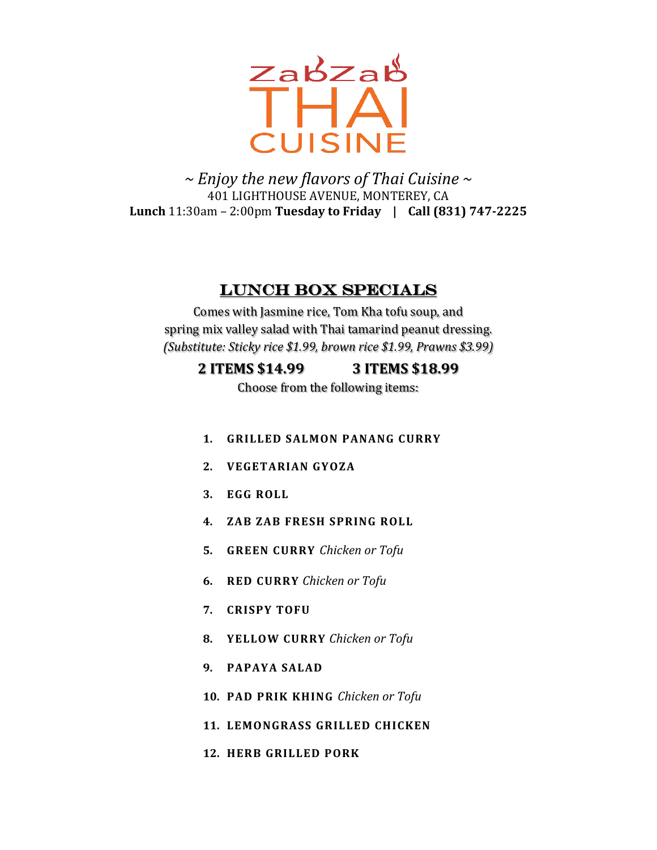

*~ Enjoy the new flavors of Thai Cuisine ~* 401 LIGHTHOUSE AVENUE, MONTEREY, CA **Lunch** 11:30am – 2:00pm **Tuesday to Friday | Call (831) 747-2225**

### Lunch box specials

Comes with Jasmine rice, Tom Kha tofu soup, and spring mix valley salad with Thai tamarind peanut dressing. *(Substitute: Sticky rice \$1.99, brown rice \$1.99, Prawns \$3.99)*

#### **2 ITEMS \$14.99 3 ITEMS \$18.99**

Choose from the following items:

- **1. GRILLED SALMON PANANG CURRY**
- **2. VEGETARIAN GYOZA**
- **3. EGG ROLL**
- **4. ZAB ZAB FRESH SPRING ROLL**
- **5. GREEN CURRY** *Chicken or Tofu*
- **6. RED CURRY** *Chicken or Tofu*
- **7. CRISPY TOFU**
- **8. YELLOW CURRY** *Chicken or Tofu*
- **9. PAPAYA SALAD**
- **10. PAD PRIK KHING** *Chicken or Tofu*
- **11. LEMONGRASS GRILLED CHICKEN**
- **12. HERB GRILLED PORK**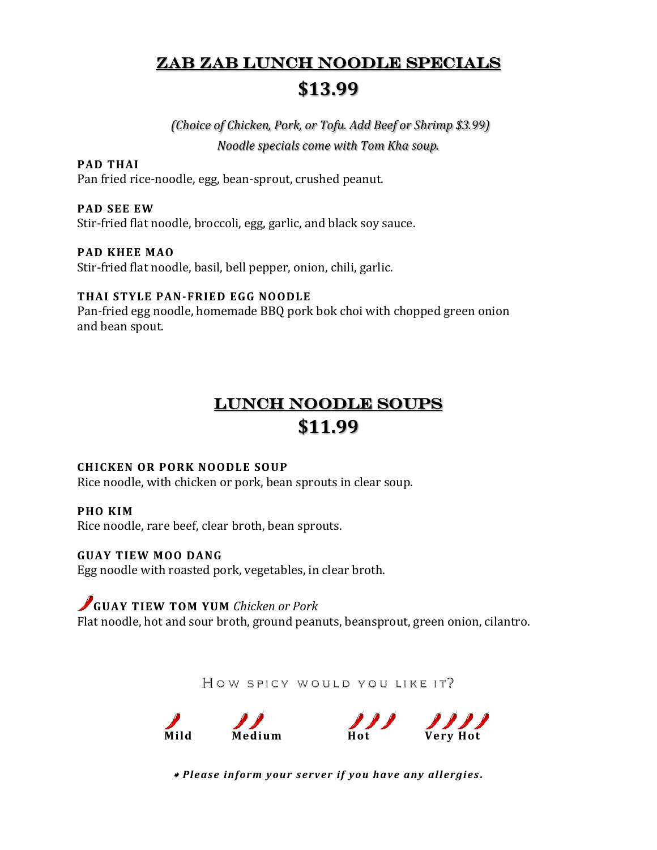# Zab zab lunch NOODLE specials **\$13.99**

*(Choice of Chicken, Pork, or Tofu. Add Beef or Shrimp \$3.99) Noodle specials come with Tom Kha soup.*

## **PAD THAI**

Pan fried rice-noodle, egg, bean-sprout, crushed peanut.

#### **PAD SEE EW**

Stir-fried flat noodle, broccoli, egg, garlic, and black soy sauce.

#### **PAD KHEE MAO**

Stir-fried flat noodle, basil, bell pepper, onion, chili, garlic.

#### **THAI STYLE PAN-FRIED EGG NOODLE**

Pan-fried egg noodle, homemade BBQ pork bok choi with chopped green onion and bean spout.

# lunch noodle soups **\$11.99**

#### **CHICKEN OR PORK NOODLE SOUP**

Rice noodle, with chicken or pork, bean sprouts in clear soup.

#### **PHO KIM**

Rice noodle, rare beef, clear broth, bean sprouts.

#### **GUAY TIEW MOO DANG**

Egg noodle with roasted pork, vegetables, in clear broth.

#### **GUAY TIEW TOM YUM** *Chicken or Pork*

Flat noodle, hot and sour broth, ground peanuts, beansprout, green onion, cilantro.

HOW SPICY WOULD YOU LIKE IT?



*Please inform your server if you have any allergies .*